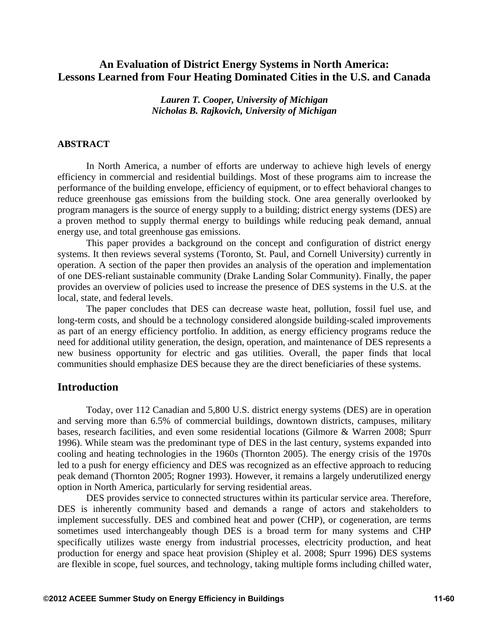# **An Evaluation of District Energy Systems in North America: Lessons Learned from Four Heating Dominated Cities in the U.S. and Canada**

*Lauren T. Cooper, University of Michigan Nicholas B. Rajkovich, University of Michigan* 

#### **ABSTRACT**

In North America, a number of efforts are underway to achieve high levels of energy efficiency in commercial and residential buildings. Most of these programs aim to increase the performance of the building envelope, efficiency of equipment, or to effect behavioral changes to reduce greenhouse gas emissions from the building stock. One area generally overlooked by program managers is the source of energy supply to a building; district energy systems (DES) are a proven method to supply thermal energy to buildings while reducing peak demand, annual energy use, and total greenhouse gas emissions.

This paper provides a background on the concept and configuration of district energy systems. It then reviews several systems (Toronto, St. Paul, and Cornell University) currently in operation. A section of the paper then provides an analysis of the operation and implementation of one DES-reliant sustainable community (Drake Landing Solar Community). Finally, the paper provides an overview of policies used to increase the presence of DES systems in the U.S. at the local, state, and federal levels.

The paper concludes that DES can decrease waste heat, pollution, fossil fuel use, and long-term costs, and should be a technology considered alongside building-scaled improvements as part of an energy efficiency portfolio. In addition, as energy efficiency programs reduce the need for additional utility generation, the design, operation, and maintenance of DES represents a new business opportunity for electric and gas utilities. Overall, the paper finds that local communities should emphasize DES because they are the direct beneficiaries of these systems.

## **Introduction**

Today, over 112 Canadian and 5,800 U.S. district energy systems (DES) are in operation and serving more than 6.5% of commercial buildings, downtown districts, campuses, military bases, research facilities, and even some residential locations (Gilmore & Warren 2008; Spurr 1996). While steam was the predominant type of DES in the last century, systems expanded into cooling and heating technologies in the 1960s (Thornton 2005). The energy crisis of the 1970s led to a push for energy efficiency and DES was recognized as an effective approach to reducing peak demand (Thornton 2005; Rogner 1993). However, it remains a largely underutilized energy option in North America, particularly for serving residential areas.

DES provides service to connected structures within its particular service area. Therefore, DES is inherently community based and demands a range of actors and stakeholders to implement successfully. DES and combined heat and power (CHP), or cogeneration, are terms sometimes used interchangeably though DES is a broad term for many systems and CHP specifically utilizes waste energy from industrial processes, electricity production, and heat production for energy and space heat provision (Shipley et al. 2008; Spurr 1996) DES systems are flexible in scope, fuel sources, and technology, taking multiple forms including chilled water,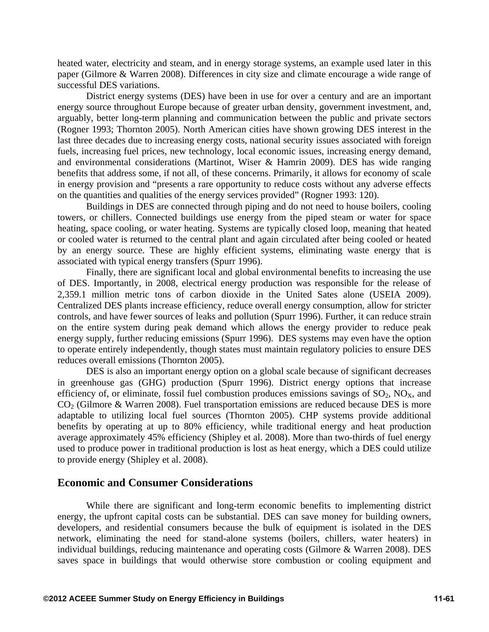heated water, electricity and steam, and in energy storage systems, an example used later in this paper (Gilmore & Warren 2008). Differences in city size and climate encourage a wide range of successful DES variations.

District energy systems (DES) have been in use for over a century and are an important energy source throughout Europe because of greater urban density, government investment, and, arguably, better long-term planning and communication between the public and private sectors (Rogner 1993; Thornton 2005). North American cities have shown growing DES interest in the last three decades due to increasing energy costs, national security issues associated with foreign fuels, increasing fuel prices, new technology, local economic issues, increasing energy demand, and environmental considerations (Martinot, Wiser & Hamrin 2009). DES has wide ranging benefits that address some, if not all, of these concerns. Primarily, it allows for economy of scale in energy provision and "presents a rare opportunity to reduce costs without any adverse effects on the quantities and qualities of the energy services provided" (Rogner 1993: 120).

Buildings in DES are connected through piping and do not need to house boilers, cooling towers, or chillers. Connected buildings use energy from the piped steam or water for space heating, space cooling, or water heating. Systems are typically closed loop, meaning that heated or cooled water is returned to the central plant and again circulated after being cooled or heated by an energy source. These are highly efficient systems, eliminating waste energy that is associated with typical energy transfers (Spurr 1996).

Finally, there are significant local and global environmental benefits to increasing the use of DES. Importantly, in 2008, electrical energy production was responsible for the release of 2,359.1 million metric tons of carbon dioxide in the United Sates alone (USEIA 2009). Centralized DES plants increase efficiency, reduce overall energy consumption, allow for stricter controls, and have fewer sources of leaks and pollution (Spurr 1996). Further, it can reduce strain on the entire system during peak demand which allows the energy provider to reduce peak energy supply, further reducing emissions (Spurr 1996). DES systems may even have the option to operate entirely independently, though states must maintain regulatory policies to ensure DES reduces overall emissions (Thornton 2005).

DES is also an important energy option on a global scale because of significant decreases in greenhouse gas (GHG) production (Spurr 1996). District energy options that increase efficiency of, or eliminate, fossil fuel combustion produces emissions savings of  $SO_2$ ,  $NO<sub>X</sub>$ , and  $CO<sub>2</sub>$  (Gilmore & Warren 2008). Fuel transportation emissions are reduced because DES is more adaptable to utilizing local fuel sources (Thornton 2005). CHP systems provide additional benefits by operating at up to 80% efficiency, while traditional energy and heat production average approximately 45% efficiency (Shipley et al. 2008). More than two-thirds of fuel energy used to produce power in traditional production is lost as heat energy, which a DES could utilize to provide energy (Shipley et al. 2008).

## **Economic and Consumer Considerations**

While there are significant and long-term economic benefits to implementing district energy, the upfront capital costs can be substantial. DES can save money for building owners, developers, and residential consumers because the bulk of equipment is isolated in the DES network, eliminating the need for stand-alone systems (boilers, chillers, water heaters) in individual buildings, reducing maintenance and operating costs (Gilmore & Warren 2008). DES saves space in buildings that would otherwise store combustion or cooling equipment and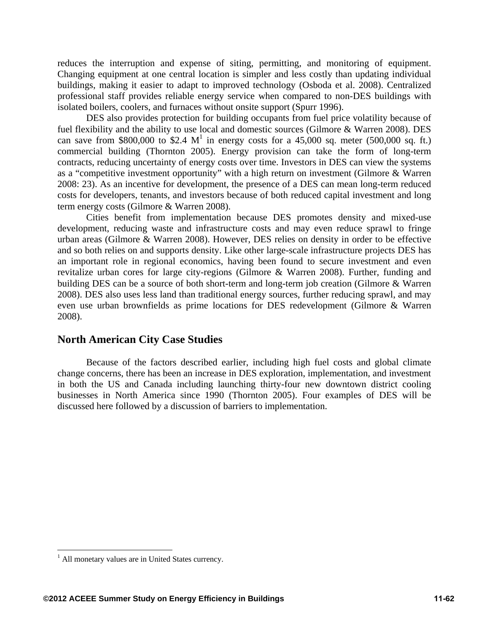reduces the interruption and expense of siting, permitting, and monitoring of equipment. Changing equipment at one central location is simpler and less costly than updating individual buildings, making it easier to adapt to improved technology (Osboda et al. 2008). Centralized professional staff provides reliable energy service when compared to non-DES buildings with isolated boilers, coolers, and furnaces without onsite support (Spurr 1996).

DES also provides protection for building occupants from fuel price volatility because of fuel flexibility and the ability to use local and domestic sources (Gilmore & Warren 2008). DES can save from \$800,000 to \$2.4  $M<sup>1</sup>$  in energy costs for a 45,000 sq. meter (500,000 sq. ft.) commercial building (Thornton 2005). Energy provision can take the form of long-term contracts, reducing uncertainty of energy costs over time. Investors in DES can view the systems as a "competitive investment opportunity" with a high return on investment (Gilmore & Warren 2008: 23). As an incentive for development, the presence of a DES can mean long-term reduced costs for developers, tenants, and investors because of both reduced capital investment and long term energy costs (Gilmore & Warren 2008).

Cities benefit from implementation because DES promotes density and mixed-use development, reducing waste and infrastructure costs and may even reduce sprawl to fringe urban areas (Gilmore & Warren 2008). However, DES relies on density in order to be effective and so both relies on and supports density. Like other large-scale infrastructure projects DES has an important role in regional economics, having been found to secure investment and even revitalize urban cores for large city-regions (Gilmore & Warren 2008). Further, funding and building DES can be a source of both short-term and long-term job creation (Gilmore & Warren 2008). DES also uses less land than traditional energy sources, further reducing sprawl, and may even use urban brownfields as prime locations for DES redevelopment (Gilmore & Warren 2008).

## **North American City Case Studies**

Because of the factors described earlier, including high fuel costs and global climate change concerns, there has been an increase in DES exploration, implementation, and investment in both the US and Canada including launching thirty-four new downtown district cooling businesses in North America since 1990 (Thornton 2005). Four examples of DES will be discussed here followed by a discussion of barriers to implementation.

 1 All monetary values are in United States currency.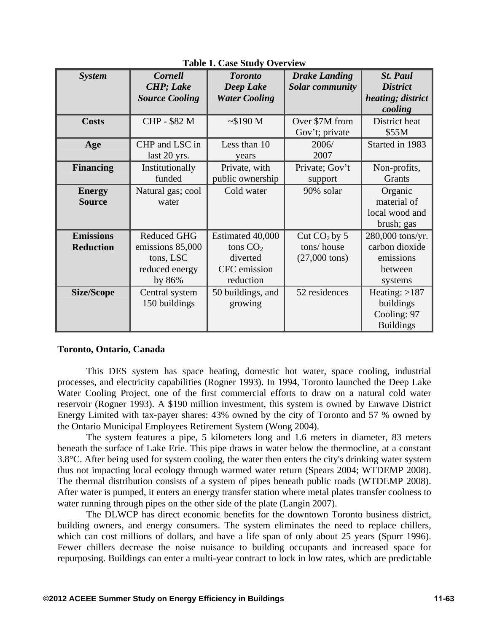| <b>System</b>     | <b>Cornell</b>        | <b>Toronto</b>       | <b>Drake Landing</b>    | <b>St. Paul</b>   |
|-------------------|-----------------------|----------------------|-------------------------|-------------------|
|                   | <b>CHP</b> ; Lake     | Deep Lake            | <b>Solar community</b>  | <b>District</b>   |
|                   | <b>Source Cooling</b> | <b>Water Cooling</b> |                         | heating; district |
|                   |                       |                      |                         | cooling           |
| <b>Costs</b>      | CHP - \$82 M          | ~5190 M              | Over \$7M from          | District heat     |
|                   |                       |                      | Gov't; private          | \$55M             |
| Age               | CHP and LSC in        | Less than 10         | 2006/                   | Started in 1983   |
|                   | last 20 yrs.          | years                | 2007                    |                   |
| <b>Financing</b>  | Institutionally       | Private, with        | Private; Gov't          | Non-profits,      |
|                   | funded                | public ownership     | support                 | Grants            |
| <b>Energy</b>     | Natural gas; cool     | Cold water           | 90% solar               | Organic           |
| <b>Source</b>     | water                 |                      |                         | material of       |
|                   |                       |                      |                         | local wood and    |
|                   |                       |                      |                         | brush; gas        |
| <b>Emissions</b>  | <b>Reduced GHG</b>    | Estimated 40,000     | Cut $CO2$ by 5          | 280,000 tons/yr.  |
| <b>Reduction</b>  | emissions 85,000      | tons $CO2$           | tons/house              | carbon dioxide    |
|                   | tons, LSC             | diverted             | $(27,000 \text{ tons})$ | emissions         |
|                   | reduced energy        | CFC emission         |                         | between           |
|                   | by 86%                | reduction            |                         | systems           |
| <b>Size/Scope</b> | Central system        | 50 buildings, and    | 52 residences           | Heating: $>187$   |
|                   | 150 buildings         | growing              |                         | buildings         |
|                   |                       |                      |                         | Cooling: 97       |
|                   |                       |                      |                         | <b>Buildings</b>  |

**Table 1. Case Study Overview** 

#### **Toronto, Ontario, Canada**

This DES system has space heating, domestic hot water, space cooling, industrial processes, and electricity capabilities (Rogner 1993). In 1994, Toronto launched the Deep Lake Water Cooling Project, one of the first commercial efforts to draw on a natural cold water reservoir (Rogner 1993). A \$190 million investment, this system is owned by Enwave District Energy Limited with tax-payer shares: 43% owned by the city of Toronto and 57 % owned by the Ontario Municipal Employees Retirement System (Wong 2004).

The system features a pipe, 5 kilometers long and 1.6 meters in diameter, 83 meters beneath the surface of Lake Erie. This pipe draws in water below the thermocline, at a constant 3.8°C. After being used for system cooling, the water then enters the city's drinking water system thus not impacting local ecology through warmed water return (Spears 2004; WTDEMP 2008). The thermal distribution consists of a system of pipes beneath public roads (WTDEMP 2008). After water is pumped, it enters an energy transfer station where metal plates transfer coolness to water running through pipes on the other side of the plate (Langin 2007).

The DLWCP has direct economic benefits for the downtown Toronto business district, building owners, and energy consumers. The system eliminates the need to replace chillers, which can cost millions of dollars, and have a life span of only about 25 years (Spurr 1996). Fewer chillers decrease the noise nuisance to building occupants and increased space for repurposing. Buildings can enter a multi-year contract to lock in low rates, which are predictable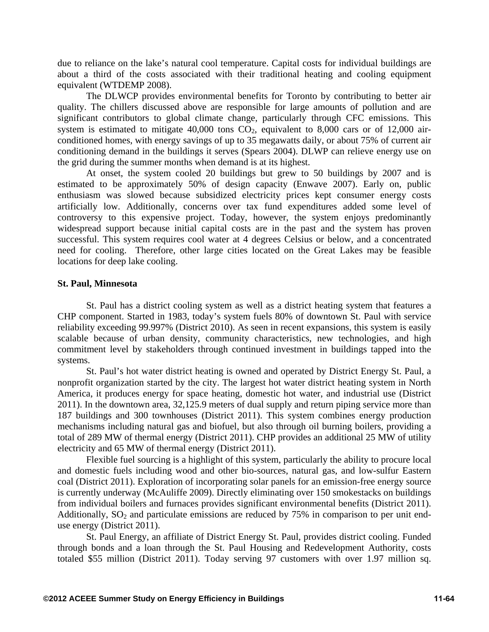due to reliance on the lake's natural cool temperature. Capital costs for individual buildings are about a third of the costs associated with their traditional heating and cooling equipment equivalent (WTDEMP 2008).

The DLWCP provides environmental benefits for Toronto by contributing to better air quality. The chillers discussed above are responsible for large amounts of pollution and are significant contributors to global climate change, particularly through CFC emissions. This system is estimated to mitigate  $40,000$  tons  $CO<sub>2</sub>$ , equivalent to 8,000 cars or of 12,000 airconditioned homes, with energy savings of up to 35 megawatts daily, or about 75% of current air conditioning demand in the buildings it serves (Spears 2004). DLWP can relieve energy use on the grid during the summer months when demand is at its highest.

At onset, the system cooled 20 buildings but grew to 50 buildings by 2007 and is estimated to be approximately 50% of design capacity (Enwave 2007). Early on, public enthusiasm was slowed because subsidized electricity prices kept consumer energy costs artificially low. Additionally, concerns over tax fund expenditures added some level of controversy to this expensive project. Today, however, the system enjoys predominantly widespread support because initial capital costs are in the past and the system has proven successful. This system requires cool water at 4 degrees Celsius or below, and a concentrated need for cooling. Therefore, other large cities located on the Great Lakes may be feasible locations for deep lake cooling.

### **St. Paul, Minnesota**

St. Paul has a district cooling system as well as a district heating system that features a CHP component. Started in 1983, today's system fuels 80% of downtown St. Paul with service reliability exceeding 99.997% (District 2010). As seen in recent expansions, this system is easily scalable because of urban density, community characteristics, new technologies, and high commitment level by stakeholders through continued investment in buildings tapped into the systems.

St. Paul's hot water district heating is owned and operated by District Energy St. Paul, a nonprofit organization started by the city. The largest hot water district heating system in North America, it produces energy for space heating, domestic hot water, and industrial use (District 2011). In the downtown area, 32,125.9 meters of dual supply and return piping service more than 187 buildings and 300 townhouses (District 2011). This system combines energy production mechanisms including natural gas and biofuel, but also through oil burning boilers, providing a total of 289 MW of thermal energy (District 2011). CHP provides an additional 25 MW of utility electricity and 65 MW of thermal energy (District 2011).

Flexible fuel sourcing is a highlight of this system, particularly the ability to procure local and domestic fuels including wood and other bio-sources, natural gas, and low-sulfur Eastern coal (District 2011). Exploration of incorporating solar panels for an emission-free energy source is currently underway (McAuliffe 2009). Directly eliminating over 150 smokestacks on buildings from individual boilers and furnaces provides significant environmental benefits (District 2011). Additionally,  $SO_2$  and particulate emissions are reduced by 75% in comparison to per unit enduse energy (District 2011).

St. Paul Energy, an affiliate of District Energy St. Paul, provides district cooling. Funded through bonds and a loan through the St. Paul Housing and Redevelopment Authority, costs totaled \$55 million (District 2011). Today serving 97 customers with over 1.97 million sq.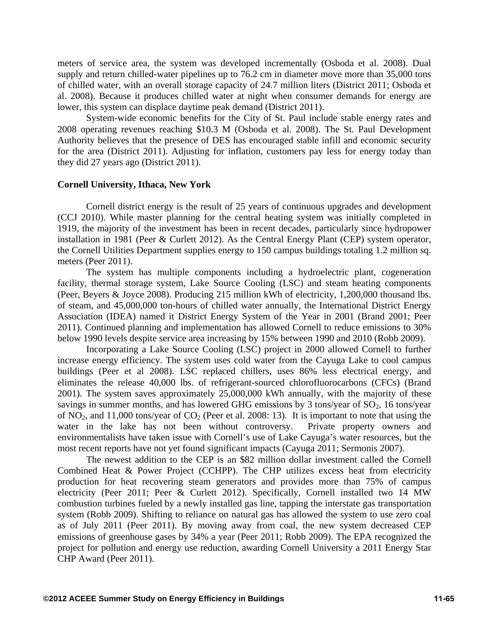meters of service area, the system was developed incrementally (Osboda et al. 2008). Dual supply and return chilled-water pipelines up to 76.2 cm in diameter move more than 35,000 tons of chilled water, with an overall storage capacity of 24.7 million liters (District 2011; Osboda et al. 2008). Because it produces chilled water at night when consumer demands for energy are lower, this system can displace daytime peak demand (District 2011).

System-wide economic benefits for the City of St. Paul include stable energy rates and 2008 operating revenues reaching \$10.3 M (Osboda et al. 2008). The St. Paul Development Authority believes that the presence of DES has encouraged stable infill and economic security for the area (District 2011). Adjusting for inflation, customers pay less for energy today than they did 27 years ago (District 2011).

### **Cornell University, Ithaca, New York**

Cornell district energy is the result of 25 years of continuous upgrades and development (CCJ 2010). While master planning for the central heating system was initially completed in 1919, the majority of the investment has been in recent decades, particularly since hydropower installation in 1981 (Peer & Curlett 2012). As the Central Energy Plant (CEP) system operator, the Cornell Utilities Department supplies energy to 150 campus buildings totaling 1.2 million sq. meters (Peer 2011).

The system has multiple components including a hydroelectric plant, cogeneration facility, thermal storage system, Lake Source Cooling (LSC) and steam heating components (Peer, Beyers & Joyce 2008). Producing 215 million kWh of electricity, 1,200,000 thousand lbs. of steam, and 45,000,000 ton-hours of chilled water annually, the International District Energy Association (IDEA) named it District Energy System of the Year in 2001 (Brand 2001; Peer 2011). Continued planning and implementation has allowed Cornell to reduce emissions to 30% below 1990 levels despite service area increasing by 15% between 1990 and 2010 (Robb 2009).

Incorporating a Lake Source Cooling (LSC) project in 2000 allowed Cornell to further increase energy efficiency. The system uses cold water from the Cayuga Lake to cool campus buildings (Peer et al 2008). LSC replaced chillers, uses 86% less electrical energy, and eliminates the release 40,000 lbs. of refrigerant-sourced chlorofluorocarbons (CFCs) (Brand 2001). The system saves approximately 25,000,000 kWh annually, with the majority of these savings in summer months, and has lowered GHG emissions by 3 tons/year of  $SO<sub>2</sub>$ , 16 tons/year of  $NO_2$ , and 11,000 tons/year of  $CO_2$  (Peer et al. 2008: 13). It is important to note that using the water in the lake has not been without controversy. Private property owners and environmentalists have taken issue with Cornell's use of Lake Cayuga's water resources, but the most recent reports have not yet found significant impacts (Cayuga 2011; Sermonis 2007).

The newest addition to the CEP is an \$82 million dollar investment called the Cornell Combined Heat & Power Project (CCHPP). The CHP utilizes excess heat from electricity production for heat recovering steam generators and provides more than 75% of campus electricity (Peer 2011; Peer & Curlett 2012). Specifically, Cornell installed two 14 MW combustion turbines fueled by a newly installed gas line, tapping the interstate gas transportation system (Robb 2009). Shifting to reliance on natural gas has allowed the system to use zero coal as of July 2011 (Peer 2011). By moving away from coal, the new system decreased CEP emissions of greenhouse gases by 34% a year (Peer 2011; Robb 2009). The EPA recognized the project for pollution and energy use reduction, awarding Cornell University a 2011 Energy Star CHP Award (Peer 2011).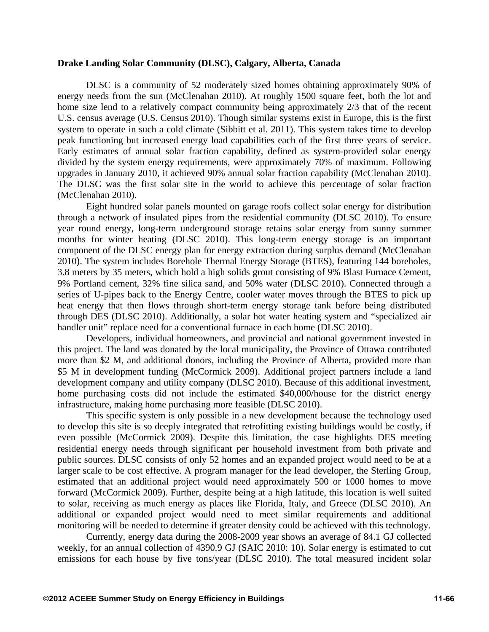#### **Drake Landing Solar Community (DLSC), Calgary, Alberta, Canada**

DLSC is a community of 52 moderately sized homes obtaining approximately 90% of energy needs from the sun (McClenahan 2010). At roughly 1500 square feet, both the lot and home size lend to a relatively compact community being approximately 2/3 that of the recent U.S. census average (U.S. Census 2010). Though similar systems exist in Europe, this is the first system to operate in such a cold climate (Sibbitt et al. 2011). This system takes time to develop peak functioning but increased energy load capabilities each of the first three years of service. Early estimates of annual solar fraction capability, defined as system-provided solar energy divided by the system energy requirements, were approximately 70% of maximum. Following upgrades in January 2010, it achieved 90% annual solar fraction capability (McClenahan 2010). The DLSC was the first solar site in the world to achieve this percentage of solar fraction (McClenahan 2010).

Eight hundred solar panels mounted on garage roofs collect solar energy for distribution through a network of insulated pipes from the residential community (DLSC 2010). To ensure year round energy, long-term underground storage retains solar energy from sunny summer months for winter heating (DLSC 2010). This long-term energy storage is an important component of the DLSC energy plan for energy extraction during surplus demand (McClenahan 2010). The system includes Borehole Thermal Energy Storage (BTES), featuring 144 boreholes, 3.8 meters by 35 meters, which hold a high solids grout consisting of 9% Blast Furnace Cement, 9% Portland cement, 32% fine silica sand, and 50% water (DLSC 2010). Connected through a series of U-pipes back to the Energy Centre, cooler water moves through the BTES to pick up heat energy that then flows through short-term energy storage tank before being distributed through DES (DLSC 2010). Additionally, a solar hot water heating system and "specialized air handler unit" replace need for a conventional furnace in each home (DLSC 2010).

Developers, individual homeowners, and provincial and national government invested in this project. The land was donated by the local municipality, the Province of Ottawa contributed more than \$2 M, and additional donors, including the Province of Alberta, provided more than \$5 M in development funding (McCormick 2009). Additional project partners include a land development company and utility company (DLSC 2010). Because of this additional investment, home purchasing costs did not include the estimated \$40,000/house for the district energy infrastructure, making home purchasing more feasible (DLSC 2010).

This specific system is only possible in a new development because the technology used to develop this site is so deeply integrated that retrofitting existing buildings would be costly, if even possible (McCormick 2009). Despite this limitation, the case highlights DES meeting residential energy needs through significant per household investment from both private and public sources. DLSC consists of only 52 homes and an expanded project would need to be at a larger scale to be cost effective. A program manager for the lead developer, the Sterling Group, estimated that an additional project would need approximately 500 or 1000 homes to move forward (McCormick 2009). Further, despite being at a high latitude, this location is well suited to solar, receiving as much energy as places like Florida, Italy, and Greece (DLSC 2010). An additional or expanded project would need to meet similar requirements and additional monitoring will be needed to determine if greater density could be achieved with this technology.

Currently, energy data during the 2008-2009 year shows an average of 84.1 GJ collected weekly, for an annual collection of 4390.9 GJ (SAIC 2010: 10). Solar energy is estimated to cut emissions for each house by five tons/year (DLSC 2010). The total measured incident solar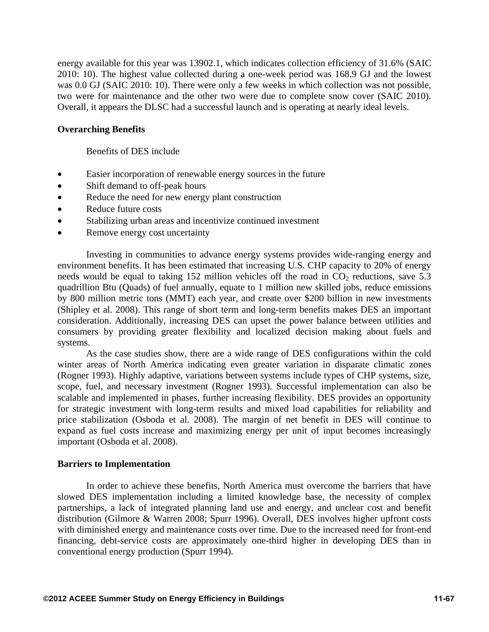energy available for this year was 13902.1, which indicates collection efficiency of 31.6% (SAIC 2010: 10). The highest value collected during a one-week period was 168.9 GJ and the lowest was 0.0 GJ (SAIC 2010: 10). There were only a few weeks in which collection was not possible, two were for maintenance and the other two were due to complete snow cover (SAIC 2010). Overall, it appears the DLSC had a successful launch and is operating at nearly ideal levels.

### **Overarching Benefits**

Benefits of DES include

- Easier incorporation of renewable energy sources in the future
- Shift demand to off-peak hours
- Reduce the need for new energy plant construction
- Reduce future costs
- Stabilizing urban areas and incentivize continued investment
- Remove energy cost uncertainty

Investing in communities to advance energy systems provides wide-ranging energy and environment benefits. It has been estimated that increasing U.S. CHP capacity to 20% of energy needs would be equal to taking 152 million vehicles off the road in  $CO<sub>2</sub>$  reductions, save 5.3 quadrillion Btu (Quads) of fuel annually, equate to 1 million new skilled jobs, reduce emissions by 800 million metric tons (MMT) each year, and create over \$200 billion in new investments (Shipley et al. 2008). This range of short term and long-term benefits makes DES an important consideration. Additionally, increasing DES can upset the power balance between utilities and consumers by providing greater flexibility and localized decision making about fuels and systems.

As the case studies show, there are a wide range of DES configurations within the cold winter areas of North America indicating even greater variation in disparate climatic zones (Rogner 1993). Highly adaptive, variations between systems include types of CHP systems, size, scope, fuel, and necessary investment (Rogner 1993). Successful implementation can also be scalable and implemented in phases, further increasing flexibility. DES provides an opportunity for strategic investment with long-term results and mixed load capabilities for reliability and price stabilization (Osboda et al. 2008). The margin of net benefit in DES will continue to expand as fuel costs increase and maximizing energy per unit of input becomes increasingly important (Osboda et al. 2008).

#### **Barriers to Implementation**

In order to achieve these benefits, North America must overcome the barriers that have slowed DES implementation including a limited knowledge base, the necessity of complex partnerships, a lack of integrated planning land use and energy, and unclear cost and benefit distribution (Gilmore & Warren 2008; Spurr 1996). Overall, DES involves higher upfront costs with diminished energy and maintenance costs over time. Due to the increased need for front-end financing, debt-service costs are approximately one-third higher in developing DES than in conventional energy production (Spurr 1994).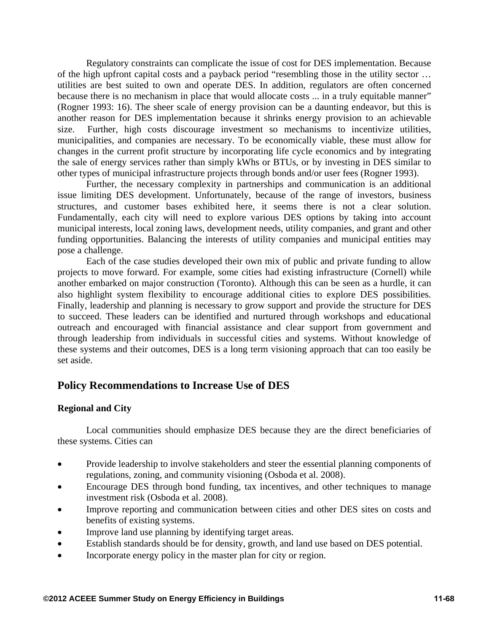Regulatory constraints can complicate the issue of cost for DES implementation. Because of the high upfront capital costs and a payback period "resembling those in the utility sector … utilities are best suited to own and operate DES. In addition, regulators are often concerned because there is no mechanism in place that would allocate costs ... in a truly equitable manner" (Rogner 1993: 16). The sheer scale of energy provision can be a daunting endeavor, but this is another reason for DES implementation because it shrinks energy provision to an achievable size. Further, high costs discourage investment so mechanisms to incentivize utilities, municipalities, and companies are necessary. To be economically viable, these must allow for changes in the current profit structure by incorporating life cycle economics and by integrating the sale of energy services rather than simply kWhs or BTUs, or by investing in DES similar to other types of municipal infrastructure projects through bonds and/or user fees (Rogner 1993).

Further, the necessary complexity in partnerships and communication is an additional issue limiting DES development. Unfortunately, because of the range of investors, business structures, and customer bases exhibited here, it seems there is not a clear solution. Fundamentally, each city will need to explore various DES options by taking into account municipal interests, local zoning laws, development needs, utility companies, and grant and other funding opportunities. Balancing the interests of utility companies and municipal entities may pose a challenge.

Each of the case studies developed their own mix of public and private funding to allow projects to move forward. For example, some cities had existing infrastructure (Cornell) while another embarked on major construction (Toronto). Although this can be seen as a hurdle, it can also highlight system flexibility to encourage additional cities to explore DES possibilities. Finally, leadership and planning is necessary to grow support and provide the structure for DES to succeed. These leaders can be identified and nurtured through workshops and educational outreach and encouraged with financial assistance and clear support from government and through leadership from individuals in successful cities and systems. Without knowledge of these systems and their outcomes, DES is a long term visioning approach that can too easily be set aside.

# **Policy Recommendations to Increase Use of DES**

### **Regional and City**

Local communities should emphasize DES because they are the direct beneficiaries of these systems. Cities can

- Provide leadership to involve stakeholders and steer the essential planning components of regulations, zoning, and community visioning (Osboda et al. 2008).
- Encourage DES through bond funding, tax incentives, and other techniques to manage investment risk (Osboda et al. 2008).
- Improve reporting and communication between cities and other DES sites on costs and benefits of existing systems.
- Improve land use planning by identifying target areas.
- Establish standards should be for density, growth, and land use based on DES potential.
- Incorporate energy policy in the master plan for city or region.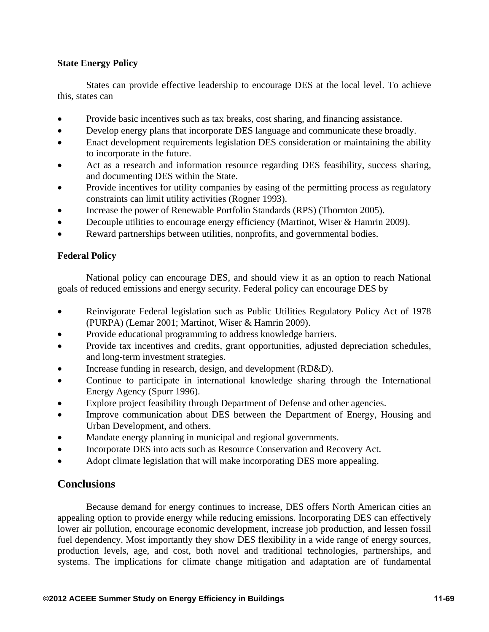## **State Energy Policy**

States can provide effective leadership to encourage DES at the local level. To achieve this, states can

- Provide basic incentives such as tax breaks, cost sharing, and financing assistance.
- Develop energy plans that incorporate DES language and communicate these broadly.
- Enact development requirements legislation DES consideration or maintaining the ability to incorporate in the future.
- Act as a research and information resource regarding DES feasibility, success sharing, and documenting DES within the State.
- Provide incentives for utility companies by easing of the permitting process as regulatory constraints can limit utility activities (Rogner 1993).
- Increase the power of Renewable Portfolio Standards (RPS) (Thornton 2005).
- Decouple utilities to encourage energy efficiency (Martinot, Wiser & Hamrin 2009).
- Reward partnerships between utilities, nonprofits, and governmental bodies.

## **Federal Policy**

National policy can encourage DES, and should view it as an option to reach National goals of reduced emissions and energy security. Federal policy can encourage DES by

- Reinvigorate Federal legislation such as Public Utilities Regulatory Policy Act of 1978 (PURPA) (Lemar 2001; Martinot, Wiser & Hamrin 2009).
- Provide educational programming to address knowledge barriers.
- Provide tax incentives and credits, grant opportunities, adjusted depreciation schedules, and long-term investment strategies.
- Increase funding in research, design, and development (RD&D).
- Continue to participate in international knowledge sharing through the International Energy Agency (Spurr 1996).
- Explore project feasibility through Department of Defense and other agencies.
- Improve communication about DES between the Department of Energy, Housing and Urban Development, and others.
- Mandate energy planning in municipal and regional governments.
- Incorporate DES into acts such as Resource Conservation and Recovery Act.
- Adopt climate legislation that will make incorporating DES more appealing.

# **Conclusions**

Because demand for energy continues to increase, DES offers North American cities an appealing option to provide energy while reducing emissions. Incorporating DES can effectively lower air pollution, encourage economic development, increase job production, and lessen fossil fuel dependency. Most importantly they show DES flexibility in a wide range of energy sources, production levels, age, and cost, both novel and traditional technologies, partnerships, and systems. The implications for climate change mitigation and adaptation are of fundamental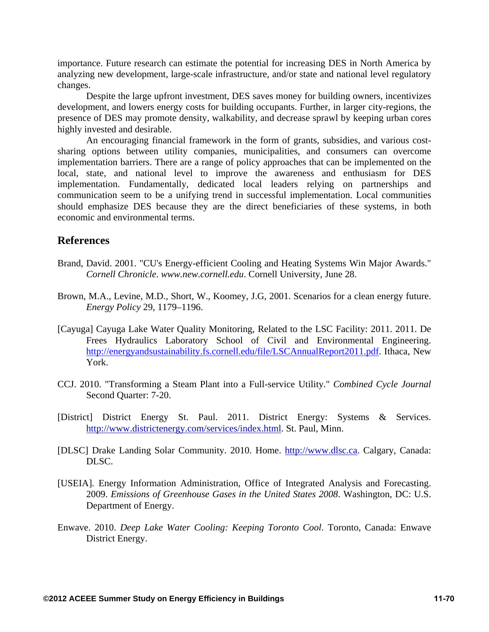importance. Future research can estimate the potential for increasing DES in North America by analyzing new development, large-scale infrastructure, and/or state and national level regulatory changes.

Despite the large upfront investment, DES saves money for building owners, incentivizes development, and lowers energy costs for building occupants. Further, in larger city-regions, the presence of DES may promote density, walkability, and decrease sprawl by keeping urban cores highly invested and desirable.

An encouraging financial framework in the form of grants, subsidies, and various costsharing options between utility companies, municipalities, and consumers can overcome implementation barriers. There are a range of policy approaches that can be implemented on the local, state, and national level to improve the awareness and enthusiasm for DES implementation. Fundamentally, dedicated local leaders relying on partnerships and communication seem to be a unifying trend in successful implementation. Local communities should emphasize DES because they are the direct beneficiaries of these systems, in both economic and environmental terms.

# **References**

- Brand, David. 2001. "CU's Energy-efficient Cooling and Heating Systems Win Major Awards." *Cornell Chronicle*. *www.new.cornell.edu*. Cornell University, June 28.
- Brown, M.A., Levine, M.D., Short, W., Koomey, J.G, 2001. Scenarios for a clean energy future. *Energy Policy* 29, 1179–1196.
- [Cayuga] Cayuga Lake Water Quality Monitoring, Related to the LSC Facility: 2011. 2011. De Frees Hydraulics Laboratory School of Civil and Environmental Engineering. http://energyandsustainability.fs.cornell.edu/file/LSCAnnualReport2011.pdf. Ithaca, New York.
- CCJ. 2010. "Transforming a Steam Plant into a Full-service Utility." *Combined Cycle Journal* Second Quarter: 7-20.
- [District] District Energy St. Paul. 2011. District Energy: Systems & Services. http://www.districtenergy.com/services/index.html. St. Paul, Minn.
- [DLSC] Drake Landing Solar Community. 2010. Home. http://www.dlsc.ca. Calgary, Canada: DLSC.
- [USEIA]*.* Energy Information Administration, Office of Integrated Analysis and Forecasting. 2009. *Emissions of Greenhouse Gases in the United States 2008*. Washington, DC: U.S. Department of Energy.
- Enwave. 2010. *Deep Lake Water Cooling: Keeping Toronto Cool*. Toronto, Canada: Enwave District Energy.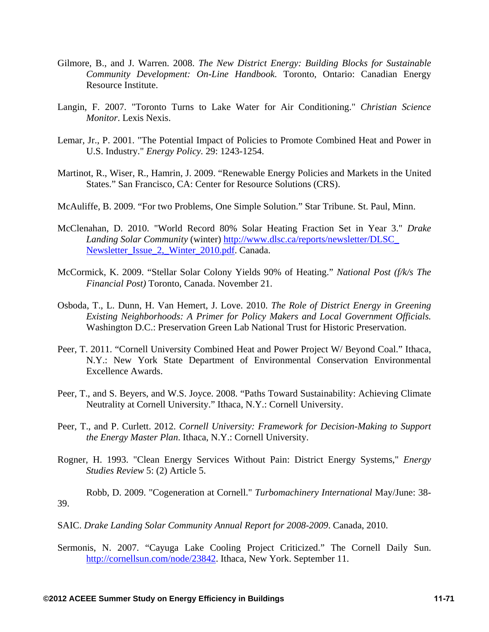- Gilmore, B., and J. Warren. 2008. *The New District Energy: Building Blocks for Sustainable Community Development: On-Line Handbook.* Toronto, Ontario: Canadian Energy Resource Institute.
- Langin, F. 2007. "Toronto Turns to Lake Water for Air Conditioning." *Christian Science Monitor*. Lexis Nexis.
- Lemar, Jr., P. 2001. "The Potential Impact of Policies to Promote Combined Heat and Power in U.S. Industry." *Energy Policy.* 29: 1243-1254.
- Martinot, R., Wiser, R., Hamrin, J. 2009. "Renewable Energy Policies and Markets in the United States." San Francisco, CA: Center for Resource Solutions (CRS).
- McAuliffe, B. 2009. "For two Problems, One Simple Solution." Star Tribune. St. Paul, Minn.
- McClenahan, D. 2010. "World Record 80% Solar Heating Fraction Set in Year 3." *Drake Landing Solar Community* (winter) http://www.dlsc.ca/reports/newsletter/DLSC\_ Newsletter\_Issue\_2,\_Winter\_2010.pdf. Canada.
- McCormick, K. 2009. "Stellar Solar Colony Yields 90% of Heating." *National Post (f/k/s The Financial Post)* Toronto, Canada. November 21.
- Osboda, T., L. Dunn, H. Van Hemert, J. Love. 2010. *The Role of District Energy in Greening Existing Neighborhoods: A Primer for Policy Makers and Local Government Officials.* Washington D.C.: Preservation Green Lab National Trust for Historic Preservation.
- Peer, T. 2011. "Cornell University Combined Heat and Power Project W/ Beyond Coal." Ithaca, N.Y.: New York State Department of Environmental Conservation Environmental Excellence Awards.
- Peer, T., and S. Beyers, and W.S. Joyce. 2008. "Paths Toward Sustainability: Achieving Climate Neutrality at Cornell University." Ithaca, N.Y.: Cornell University.
- Peer, T., and P. Curlett. 2012. *Cornell University: Framework for Decision-Making to Support the Energy Master Plan*. Ithaca, N.Y.: Cornell University.
- Rogner, H. 1993. "Clean Energy Services Without Pain: District Energy Systems," *Energy Studies Review* 5: (2) Article 5.

Robb, D. 2009. "Cogeneration at Cornell." *Turbomachinery International* May/June: 38- 39.

- SAIC. *Drake Landing Solar Community Annual Report for 2008-2009*. Canada, 2010.
- Sermonis, N. 2007. "Cayuga Lake Cooling Project Criticized." The Cornell Daily Sun. http://cornellsun.com/node/23842. Ithaca, New York. September 11.